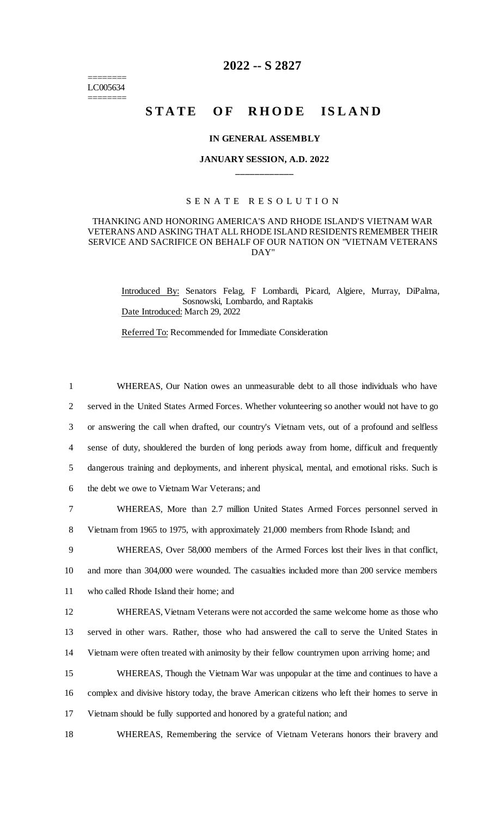======== LC005634 ========

## **2022 -- S 2827**

# **STATE OF RHODE ISLAND**

## **IN GENERAL ASSEMBLY**

## **JANUARY SESSION, A.D. 2022 \_\_\_\_\_\_\_\_\_\_\_\_**

### S E N A T E R E S O L U T I O N

## THANKING AND HONORING AMERICA'S AND RHODE ISLAND'S VIETNAM WAR VETERANS AND ASKING THAT ALL RHODE ISLAND RESIDENTS REMEMBER THEIR SERVICE AND SACRIFICE ON BEHALF OF OUR NATION ON "VIETNAM VETERANS DAY"

Introduced By: Senators Felag, F Lombardi, Picard, Algiere, Murray, DiPalma, Sosnowski, Lombardo, and Raptakis Date Introduced: March 29, 2022

Referred To: Recommended for Immediate Consideration

 WHEREAS, Our Nation owes an unmeasurable debt to all those individuals who have served in the United States Armed Forces. Whether volunteering so another would not have to go or answering the call when drafted, our country's Vietnam vets, out of a profound and selfless sense of duty, shouldered the burden of long periods away from home, difficult and frequently dangerous training and deployments, and inherent physical, mental, and emotional risks. Such is the debt we owe to Vietnam War Veterans; and WHEREAS, More than 2.7 million United States Armed Forces personnel served in Vietnam from 1965 to 1975, with approximately 21,000 members from Rhode Island; and WHEREAS, Over 58,000 members of the Armed Forces lost their lives in that conflict, and more than 304,000 were wounded. The casualties included more than 200 service members who called Rhode Island their home; and WHEREAS, Vietnam Veterans were not accorded the same welcome home as those who served in other wars. Rather, those who had answered the call to serve the United States in Vietnam were often treated with animosity by their fellow countrymen upon arriving home; and WHEREAS, Though the Vietnam War was unpopular at the time and continues to have a

16 complex and divisive history today, the brave American citizens who left their homes to serve in 17 Vietnam should be fully supported and honored by a grateful nation; and

18 WHEREAS, Remembering the service of Vietnam Veterans honors their bravery and